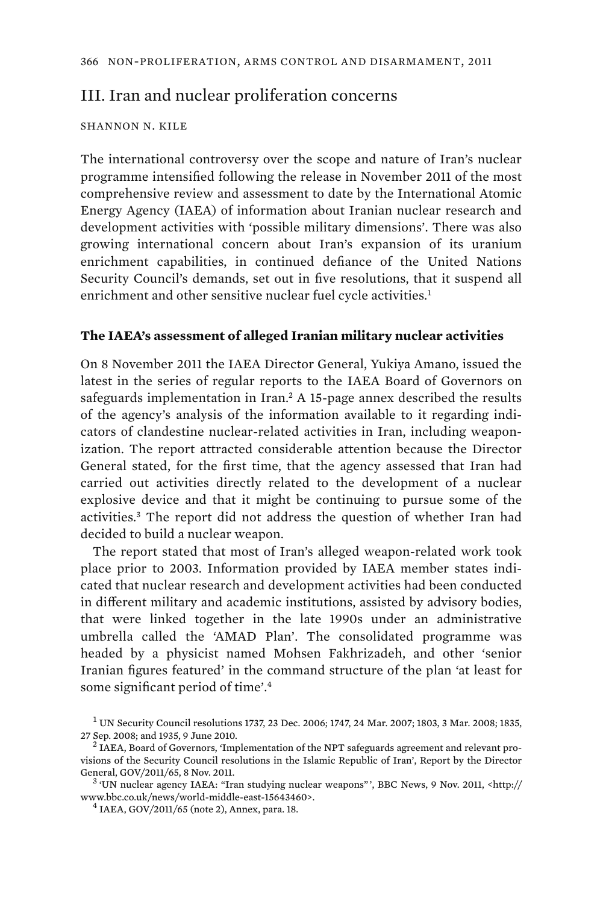# III. Iran and nuclear proliferation concerns

### SHANNON N. KILE

The international controversy over the scope and nature of Iran's nuclear programme intensified following the release in November 2011 of the most comprehensive review and assessment to date by the International Atomic Energy Agency (IAEA) of information about Iranian nuclear research and development activities with 'possible military dimensions'. There was also growing international concern about Iran's expansion of its uranium enrichment capabilities, in continued defiance of the United Nations Security Council's demands, set out in five resolutions, that it suspend all enrichment and other sensitive nuclear fuel cycle activities.<sup>1</sup>

#### **The IAEA's assessment of alleged Iranian military nuclear activities**

On 8 November 2011 the IAEA Director General, Yukiya Amano, issued the latest in the series of regular reports to the IAEA Board of Governors on safeguards implementation in Iran.<sup>2</sup> A 15-page annex described the results of the agency's analysis of the information available to it regarding indicators of clandestine nuclear-related activities in Iran, including weaponization. The report attracted considerable attention because the Director General stated, for the first time, that the agency assessed that Iran had carried out activities directly related to the development of a nuclear explosive device and that it might be continuing to pursue some of the activities.<sup>3</sup> The report did not address the question of whether Iran had decided to build a nuclear weapon.

The report stated that most of Iran's alleged weapon-related work took place prior to 2003. Information provided by IAEA member states indicated that nuclear research and development activities had been conducted in different military and academic institutions, assisted by advisory bodies, that were linked together in the late 1990s under an administrative umbrella called the 'AMAD Plan'. The consolidated programme was headed by a physicist named Mohsen Fakhrizadeh, and other 'senior Iranian figures featured' in the command structure of the plan 'at least for some significant period of time'.<sup>4</sup>

 $^1$  UN Security Council resolutions 1737, 23 Dec. 2006; 1747, 24 Mar. 2007; 1803, 3 Mar. 2008; 1835, 27 Sep. 2008; and 1935, 9 June 2010. <sup>2</sup>

 $2$  IAEA, Board of Governors, 'Implementation of the NPT safeguards agreement and relevant provisions of the Security Council resolutions in the Islamic Republic of Iran', Report by the Director General, GOV/2011/65, 8 Nov. 2011. <sup>3</sup>

 <sup>&#</sup>x27;UN nuclear agency IAEA: "Iran studying nuclear weapons" ', BBC News, 9 Nov. 2011, <http:// www.bbc.co.uk/news/world-middle-east-15643460>. <sup>4</sup>

 $4$  IAEA, GOV/2011/65 (note 2), Annex, para. 18.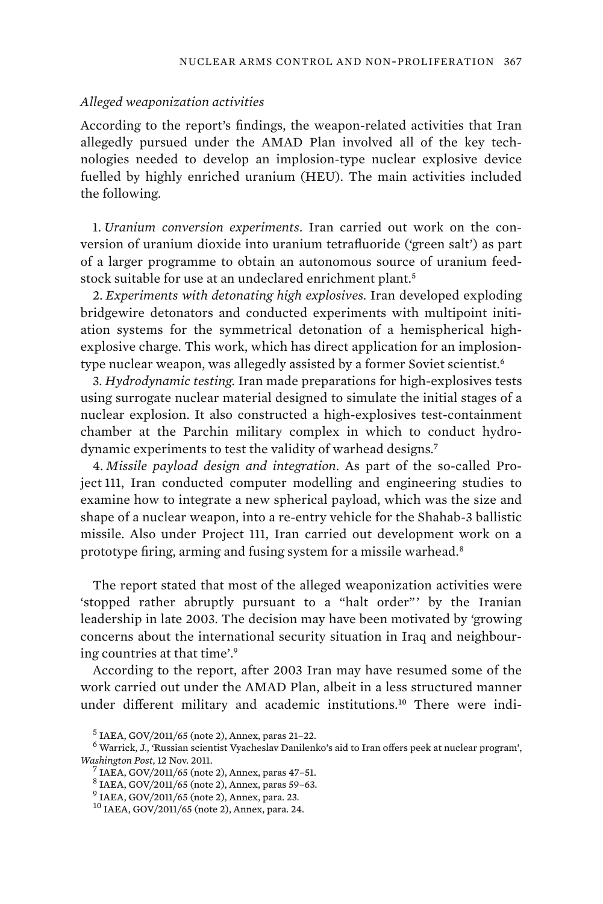#### *Alleged weaponization activities*

According to the report's findings, the weapon-related activities that Iran allegedly pursued under the AMAD Plan involved all of the key technologies needed to develop an implosion-type nuclear explosive device fuelled by highly enriched uranium (HEU). The main activities included the following.

1. *Uranium conversion experiments*. Iran carried out work on the conversion of uranium dioxide into uranium tetrafluoride ('green salt') as part of a larger programme to obtain an autonomous source of uranium feedstock suitable for use at an undeclared enrichment plant.<sup>5</sup>

2. *Experiments with detonating high explosives.* Iran developed exploding bridgewire detonators and conducted experiments with multipoint initiation systems for the symmetrical detonation of a hemispherical highexplosive charge. This work, which has direct application for an implosiontype nuclear weapon, was allegedly assisted by a former Soviet scientist.<sup>6</sup>

3. *Hydrodynamic testing.* Iran made preparations for high-explosives tests using surrogate nuclear material designed to simulate the initial stages of a nuclear explosion. It also constructed a high-explosives test-containment chamber at the Parchin military complex in which to conduct hydrodynamic experiments to test the validity of warhead designs.<sup>7</sup>

4. *Missile payload design and integration*. As part of the so-called Project 111, Iran conducted computer modelling and engineering studies to examine how to integrate a new spherical payload, which was the size and shape of a nuclear weapon, into a re-entry vehicle for the Shahab-3 ballistic missile. Also under Project 111, Iran carried out development work on a prototype firing, arming and fusing system for a missile warhead.<sup>8</sup>

The report stated that most of the alleged weaponization activities were 'stopped rather abruptly pursuant to a "halt order"' by the Iranian leadership in late 2003. The decision may have been motivated by 'growing concerns about the international security situation in Iraq and neighbouring countries at that time'.<sup>9</sup>

According to the report, after 2003 Iran may have resumed some of the work carried out under the AMAD Plan, albeit in a less structured manner under different military and academic institutions.10 There were indi-

<sup>5</sup> IAEA, GOV/2011/65 (note 2), Annex, paras 21–22.

<sup>6</sup> Warrick, J., 'Russian scientist Vyacheslav Danilenko's aid to Iran offers peek at nuclear program', *Washington Post*, 12 Nov. 2011. <sup>7</sup>

IAEA, GOV/2011/65 (note 2), Annex, paras 47–51.

<sup>8</sup> IAEA, GOV/2011/65 (note 2), Annex, paras 59–63.

<sup>9</sup> IAEA, GOV/2011/65 (note 2), Annex, para. 23.

<sup>10</sup> IAEA, GOV/2011/65 (note 2), Annex, para. 24.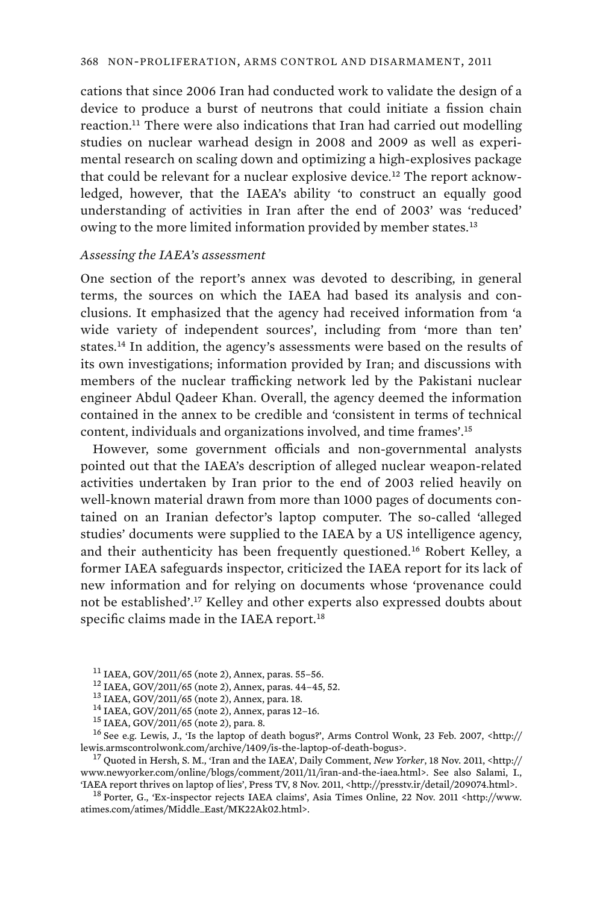cations that since 2006 Iran had conducted work to validate the design of a device to produce a burst of neutrons that could initiate a fission chain reaction.<sup>11</sup> There were also indications that Iran had carried out modelling studies on nuclear warhead design in 2008 and 2009 as well as experimental research on scaling down and optimizing a high-explosives package that could be relevant for a nuclear explosive device.<sup>12</sup> The report acknowledged, however, that the IAEA's ability 'to construct an equally good understanding of activities in Iran after the end of 2003' was 'reduced' owing to the more limited information provided by member states.<sup>13</sup>

### *Assessing the IAEA's assessment*

One section of the report's annex was devoted to describing, in general terms, the sources on which the IAEA had based its analysis and conclusions. It emphasized that the agency had received information from 'a wide variety of independent sources', including from 'more than ten' states.<sup>14</sup> In addition, the agency's assessments were based on the results of its own investigations; information provided by Iran; and discussions with members of the nuclear trafficking network led by the Pakistani nuclear engineer Abdul Qadeer Khan. Overall, the agency deemed the information contained in the annex to be credible and 'consistent in terms of technical content, individuals and organizations involved, and time frames'.<sup>15</sup>

However, some government officials and non-governmental analysts pointed out that the IAEA's description of alleged nuclear weapon-related activities undertaken by Iran prior to the end of 2003 relied heavily on well-known material drawn from more than 1000 pages of documents contained on an Iranian defector's laptop computer. The so-called 'alleged studies' documents were supplied to the IAEA by a US intelligence agency, and their authenticity has been frequently questioned.<sup>16</sup> Robert Kelley, a former IAEA safeguards inspector, criticized the IAEA report for its lack of new information and for relying on documents whose 'provenance could not be established'.<sup>17</sup> Kelley and other experts also expressed doubts about specific claims made in the IAEA report.<sup>18</sup>

www.newyorker.com/online/blogs/comment/2011/11/iran-and-the-iaea.html>. See also Salami, I., TAEA report thrives on laptop of lies', Press TV, 8 Nov. 2011, <http://presstv.ir/detail/209074.html>.

<sup>18</sup> Porter, G., 'Ex-inspector rejects IAEA claims', Asia Times Online, 22 Nov. 2011 <http://www. atimes.com/atimes/Middle\_East/MK22Ak02.html>.

<sup>&</sup>lt;sup>11</sup> IAEA, GOV/2011/65 (note 2), Annex, paras. 55–56.<br><sup>12</sup> IAEA, GOV/2011/65 (note 2), Annex, paras. 44–45, 52.<br><sup>13</sup> IAEA, GOV/2011/65 (note 2), Annex, para. 18.<br><sup>14</sup> IAEA, GOV/2011/65 (note 2), Annex, paras 12–16.<br><sup>15</sup> I lewis.armscontrolwonk.com/archive/1409/is-the-laptop-of-death-bogus>. 17 Quoted in Hersh, S. M., 'Iran and the IAEA', Daily Comment, *New Yorker*, 18 Nov. 2011, <http://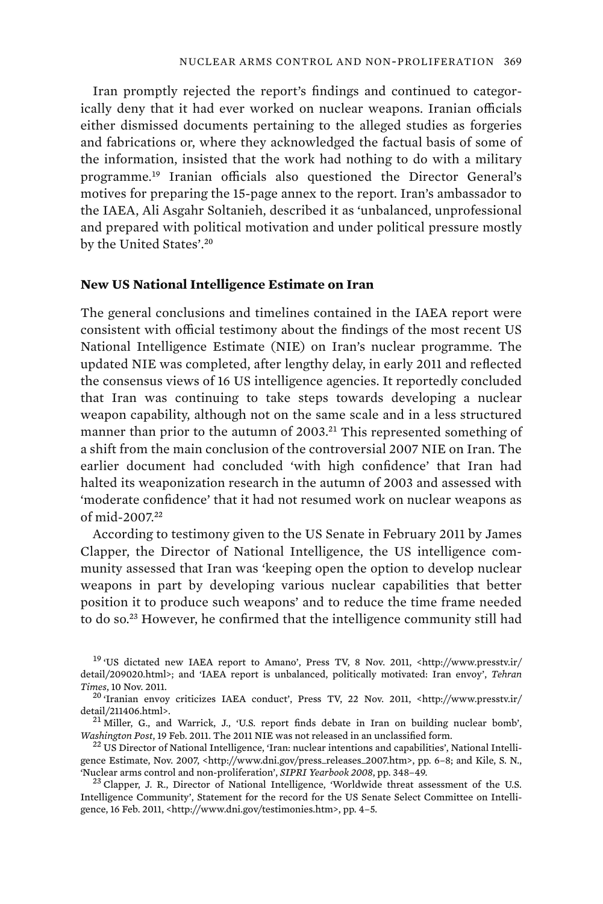Iran promptly rejected the report's findings and continued to categorically deny that it had ever worked on nuclear weapons. Iranian officials either dismissed documents pertaining to the alleged studies as forgeries and fabrications or, where they acknowledged the factual basis of some of the information, insisted that the work had nothing to do with a military programme.<sup>19</sup> Iranian officials also questioned the Director General's motives for preparing the 15-page annex to the report. Iran's ambassador to the IAEA, Ali Asgahr Soltanieh, described it as 'unbalanced, unprofessional and prepared with political motivation and under political pressure mostly by the United States'.<sup>20</sup>

#### **New US National Intelligence Estimate on Iran**

The general conclusions and timelines contained in the IAEA report were consistent with official testimony about the findings of the most recent US National Intelligence Estimate (NIE) on Iran's nuclear programme. The updated NIE was completed, after lengthy delay, in early 2011 and reflected the consensus views of 16 US intelligence agencies. It reportedly concluded that Iran was continuing to take steps towards developing a nuclear weapon capability, although not on the same scale and in a less structured manner than prior to the autumn of 2003.<sup>21</sup> This represented something of a shift from the main conclusion of the controversial 2007 NIE on Iran. The earlier document had concluded 'with high confidence' that Iran had halted its weaponization research in the autumn of 2003 and assessed with 'moderate confidence' that it had not resumed work on nuclear weapons as of mid-2007.<sup>22</sup>

According to testimony given to the US Senate in February 2011 by James Clapper, the Director of National Intelligence, the US intelligence community assessed that Iran was 'keeping open the option to develop nuclear weapons in part by developing various nuclear capabilities that better position it to produce such weapons' and to reduce the time frame needed to do so.<sup>23</sup> However, he confirmed that the intelligence community still had

<sup>19</sup> 'US dictated new IAEA report to Amano', Press TV, 8 Nov. 2011, <http://www.presstv.ir/ detail/209020.html>; and 'IAEA report is unbalanced, politically motivated: Iran envoy', *Tehran Times*, 10 Nov. 2011.<br><sup>20</sup> 'Iranian envoy criticizes IAEA conduct', Press TV, 22 Nov. 2011, <http://www.presstv.ir/

detail/211406.html>.<br><sup>21</sup> Miller, G., and Warrick, J., 'U.S. report finds debate in Iran on building nuclear bomb',

*Washington Post*, 19 Feb. 2011. The 2011 NIE was not released in an unclassified form.<br><sup>22</sup> US Director of National Intelligence, 'Iran: nuclear intentions and capabilities', National Intelli-

gence Estimate, Nov. 2007, <http://www.dni.gov/press\_releases\_2007.htm>, pp. 6-8; and Kile, S. N., 'Nuclear arms control and non-proliferation', *SIPRI Yearbook 2008*, pp. 348–49. 23 Clapper, J. R., Director of National Intelligence, 'Worldwide threat assessment of the U.S.

Intelligence Community', Statement for the record for the US Senate Select Committee on Intelligence, 16 Feb. 2011, <http://www.dni.gov/testimonies.htm>, pp. 4–5.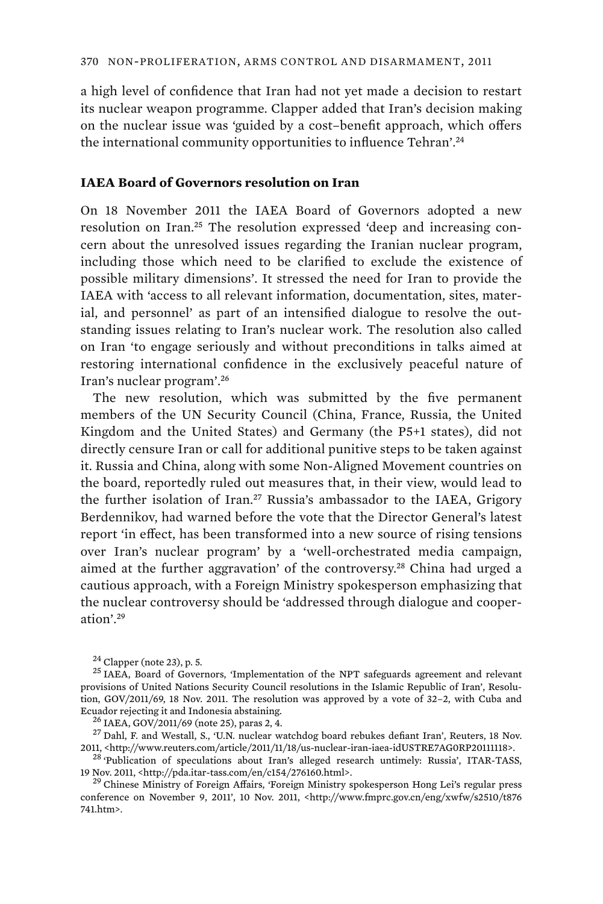a high level of confidence that Iran had not yet made a decision to restart its nuclear weapon programme. Clapper added that Iran's decision making on the nuclear issue was 'guided by a cost–benefit approach, which offers the international community opportunities to influence Tehran'.<sup>24</sup>

## **IAEA Board of Governors resolution on Iran**

On 18 November 2011 the IAEA Board of Governors adopted a new resolution on Iran.<sup>25</sup> The resolution expressed 'deep and increasing concern about the unresolved issues regarding the Iranian nuclear program, including those which need to be clarified to exclude the existence of possible military dimensions'. It stressed the need for Iran to provide the IAEA with 'access to all relevant information, documentation, sites, material, and personnel' as part of an intensified dialogue to resolve the outstanding issues relating to Iran's nuclear work. The resolution also called on Iran 'to engage seriously and without preconditions in talks aimed at restoring international confidence in the exclusively peaceful nature of Iran's nuclear program'.<sup>26</sup>

The new resolution, which was submitted by the five permanent members of the UN Security Council (China, France, Russia, the United Kingdom and the United States) and Germany (the P5+1 states), did not directly censure Iran or call for additional punitive steps to be taken against it. Russia and China, along with some Non-Aligned Movement countries on the board, reportedly ruled out measures that, in their view, would lead to the further isolation of Iran.<sup>27</sup> Russia's ambassador to the IAEA, Grigory Berdennikov, had warned before the vote that the Director General's latest report 'in effect, has been transformed into a new source of rising tensions over Iran's nuclear program' by a 'well-orchestrated media campaign, aimed at the further aggravation' of the controversy.<sup>28</sup> China had urged a cautious approach, with a Foreign Ministry spokesperson emphasizing that the nuclear controversy should be 'addressed through dialogue and cooperation'.<sup>29</sup>

<sup>24</sup> Clapper (note 23), p. 5.<br><sup>25</sup> IAEA, Board of Governors, 'Implementation of the NPT safeguards agreement and relevant provisions of United Nations Security Council resolutions in the Islamic Republic of Iran', Resolution, GOV/2011/69, 18 Nov. 2011. The resolution was approved by a vote of 32–2, with Cuba and

Ecuador rejecting it and Indonesia abstaining.<br><sup>26</sup> IAEA, GOV/2011/69 (note 25), paras 2, 4. 27 Dahl, F. and Westall, S., 'U.N. nuclear watchdog board rebukes defiant Iran', Reuters, 18 Nov. 2011, <http://www.reuters.com/article/2011/11/18/us-nuclear-iran-iaea-idUSTRE7AG0RP20111118>.<br><sup>28</sup> 'Publication of speculations about Iran's alleged research untimely: Russia', ITAR-TASS,

19 Nov. 2011, <http://pda.itar-tass.com/en/c154/276160.html>. 29 Chinese Ministry of Foreign Affairs, 'Foreign Ministry spokesperson Hong Lei's regular press

conference on November 9, 2011', 10 Nov. 2011, <http://www.fmprc.gov.cn/eng/xwfw/s2510/t876 741.htm>.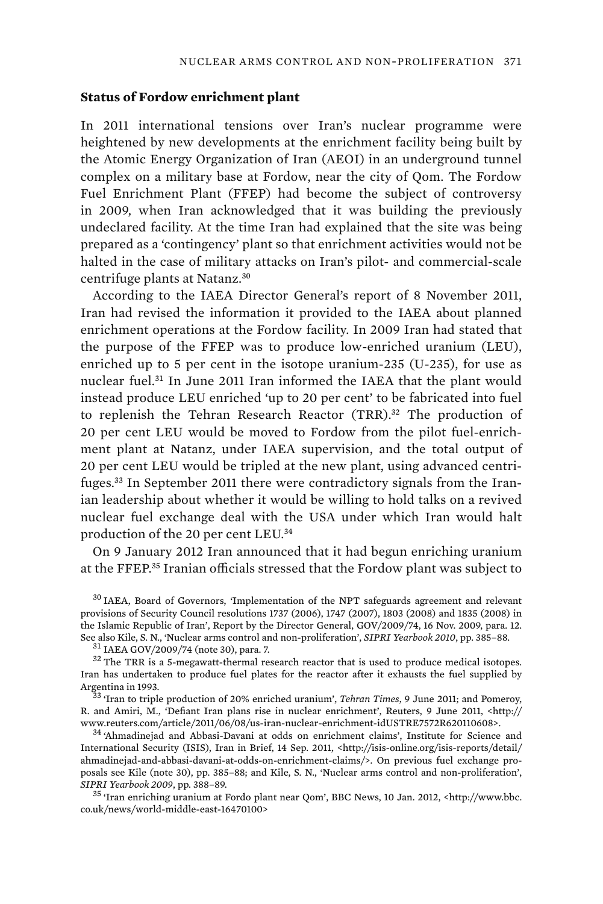### **Status of Fordow enrichment plant**

In 2011 international tensions over Iran's nuclear programme were heightened by new developments at the enrichment facility being built by the Atomic Energy Organization of Iran (AEOI) in an underground tunnel complex on a military base at Fordow, near the city of Qom. The Fordow Fuel Enrichment Plant (FFEP) had become the subject of controversy in 2009, when Iran acknowledged that it was building the previously undeclared facility. At the time Iran had explained that the site was being prepared as a 'contingency' plant so that enrichment activities would not be halted in the case of military attacks on Iran's pilot- and commercial-scale centrifuge plants at Natanz.<sup>30</sup>

According to the IAEA Director General's report of 8 November 2011, Iran had revised the information it provided to the IAEA about planned enrichment operations at the Fordow facility. In 2009 Iran had stated that the purpose of the FFEP was to produce low-enriched uranium (LEU), enriched up to 5 per cent in the isotope uranium-235 (U-235), for use as nuclear fuel.<sup>31</sup> In June 2011 Iran informed the IAEA that the plant would instead produce LEU enriched 'up to 20 per cent' to be fabricated into fuel to replenish the Tehran Research Reactor (TRR).<sup>32</sup> The production of 20 per cent LEU would be moved to Fordow from the pilot fuel-enrichment plant at Natanz, under IAEA supervision, and the total output of 20 per cent LEU would be tripled at the new plant, using advanced centrifuges.33 In September 2011 there were contradictory signals from the Iranian leadership about whether it would be willing to hold talks on a revived nuclear fuel exchange deal with the USA under which Iran would halt production of the 20 per cent LEU.<sup>34</sup>

On 9 January 2012 Iran announced that it had begun enriching uranium at the FFEP.<sup>35</sup> Iranian officials stressed that the Fordow plant was subject to

<sup>30</sup> IAEA, Board of Governors, 'Implementation of the NPT safeguards agreement and relevant provisions of Security Council resolutions 1737 (2006), 1747 (2007), 1803 (2008) and 1835 (2008) in the Islamic Republic of Iran', Report by the Director General, GOV/2009/74, 16 Nov. 2009, para. 12. See also Kile, S. N., 'Nuclear arms control and non-proliferation', *SIPRI Yearbook 2010*, pp. 385–88.<br><sup>31</sup> IAEA GOV/2009/74 (note 30), para. 7.<br><sup>32</sup> The TRR is a 5-megawatt-thermal research reactor that is used to produc

Iran has undertaken to produce fuel plates for the reactor after it exhausts the fuel supplied by Argentina in 1993. 33 'Iran to triple production of 20% enriched uranium', *Tehran Times*, 9 June 2011; and Pomeroy,

R. and Amiri, M., 'Defiant Iran plans rise in nuclear enrichment', Reuters, 9 June 2011, <http:// www.reuters.com/article/2011/06/08/us-iran-nuclear-enrichment-idUSTRE7572R620110608>. 34 'Ahmadinejad and Abbasi-Davani at odds on enrichment claims', Institute for Science and

International Security (ISIS), Iran in Brief, 14 Sep. 2011, <http://isis-online.org/isis-reports/detail/ ahmadinejad-and-abbasi-davani-at-odds-on-enrichment-claims/>. On previous fuel exchange proposals see Kile (note 30), pp. 385–88; and Kile, S. N., 'Nuclear arms control and non-proliferation', *SIPRI Yearbook 2009*, pp. 388–89. 35 'Iran enriching uranium at Fordo plant near Qom', BBC News, 10 Jan. 2012, <http://www.bbc.

co.uk/news/world-middle-east-16470100>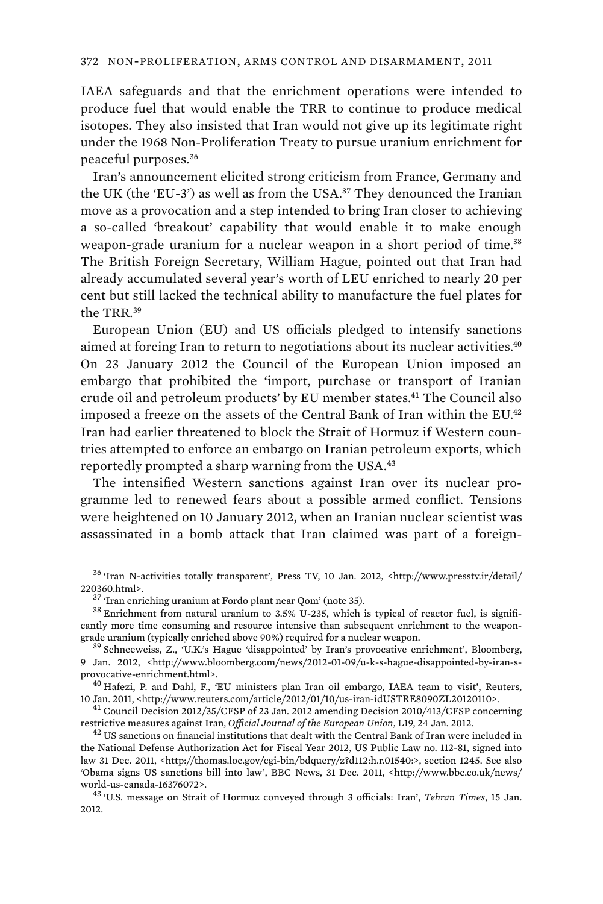IAEA safeguards and that the enrichment operations were intended to produce fuel that would enable the TRR to continue to produce medical isotopes. They also insisted that Iran would not give up its legitimate right under the 1968 Non-Proliferation Treaty to pursue uranium enrichment for peaceful purposes.<sup>36</sup>

Iran's announcement elicited strong criticism from France, Germany and the UK (the 'EU-3') as well as from the USA.<sup>37</sup> They denounced the Iranian move as a provocation and a step intended to bring Iran closer to achieving a so-called 'breakout' capability that would enable it to make enough weapon-grade uranium for a nuclear weapon in a short period of time.<sup>38</sup> The British Foreign Secretary, William Hague, pointed out that Iran had already accumulated several year's worth of LEU enriched to nearly 20 per cent but still lacked the technical ability to manufacture the fuel plates for the TRR.<sup>39</sup>

European Union (EU) and US officials pledged to intensify sanctions aimed at forcing Iran to return to negotiations about its nuclear activities.<sup>40</sup> On 23 January 2012 the Council of the European Union imposed an embargo that prohibited the 'import, purchase or transport of Iranian crude oil and petroleum products' by EU member states.<sup>41</sup> The Council also imposed a freeze on the assets of the Central Bank of Iran within the EU.<sup>42</sup> Iran had earlier threatened to block the Strait of Hormuz if Western countries attempted to enforce an embargo on Iranian petroleum exports, which reportedly prompted a sharp warning from the USA.<sup>43</sup>

The intensified Western sanctions against Iran over its nuclear programme led to renewed fears about a possible armed conflict. Tensions were heightened on 10 January 2012, when an Iranian nuclear scientist was assassinated in a bomb attack that Iran claimed was part of a foreign-

 $^{36}$  'Iran N-activities totally transparent', Press TV, 10 Jan. 2012, <http://www.presstv.ir/detail/ 220360.html>.

<sup>37</sup> 'Iran enriching uranium at Fordo plant near Qom' (note 35).<br><sup>38</sup> Enrichment from natural uranium to 3.5% U-235, which is typical of reactor fuel, is significantly more time consuming and resource intensive than subsequent enrichment to the weapongrade uranium (typically enriched above 90%) required for a nuclear weapon.<br><sup>39</sup> Schneeweiss, Z., 'U.K.'s Hague 'disappointed' by Iran's provocative enrichment', Bloomberg,

9 Jan. 2012, <http://www.bloomberg.com/news/2012-01-09/u-k-s-hague-disappointed-by-iran-sprovocative-enrichment.html>.<br><sup>40</sup> Hafezi, P. and Dahl, F., 'EU ministers plan Iran oil embargo, IAEA team to visit', Reuters,

10 Jan. 2011, <http://www.reuters.com/article/2012/01/10/us-iran-idUSTRE8090ZL20120110>. 41 Council Decision 2012/35/CFSP of 23 Jan. 2012 amending Decision 2010/413/CFSP concerning

restrictive measures against Iran, *Official Journal of the European Union*, L19, 24 Jan. 2012.<br><sup>42</sup> US sanctions on financial institutions that dealt with the Central Bank of Iran were included in

the National Defense Authorization Act for Fiscal Year 2012, US Public Law no. 112-81, signed into law 31 Dec. 2011, <http://thomas.loc.gov/cgi-bin/bdquery/z?d112:h.r.01540:>, section 1245. See also 'Obama signs US sanctions bill into law', BBC News, 31 Dec. 2011, <http://www.bbc.co.uk/news/ world-us-canada-16376072>. 43 'U.S. message on Strait of Hormuz conveyed through 3 officials: Iran', *Tehran Times*, 15 Jan.

2012.